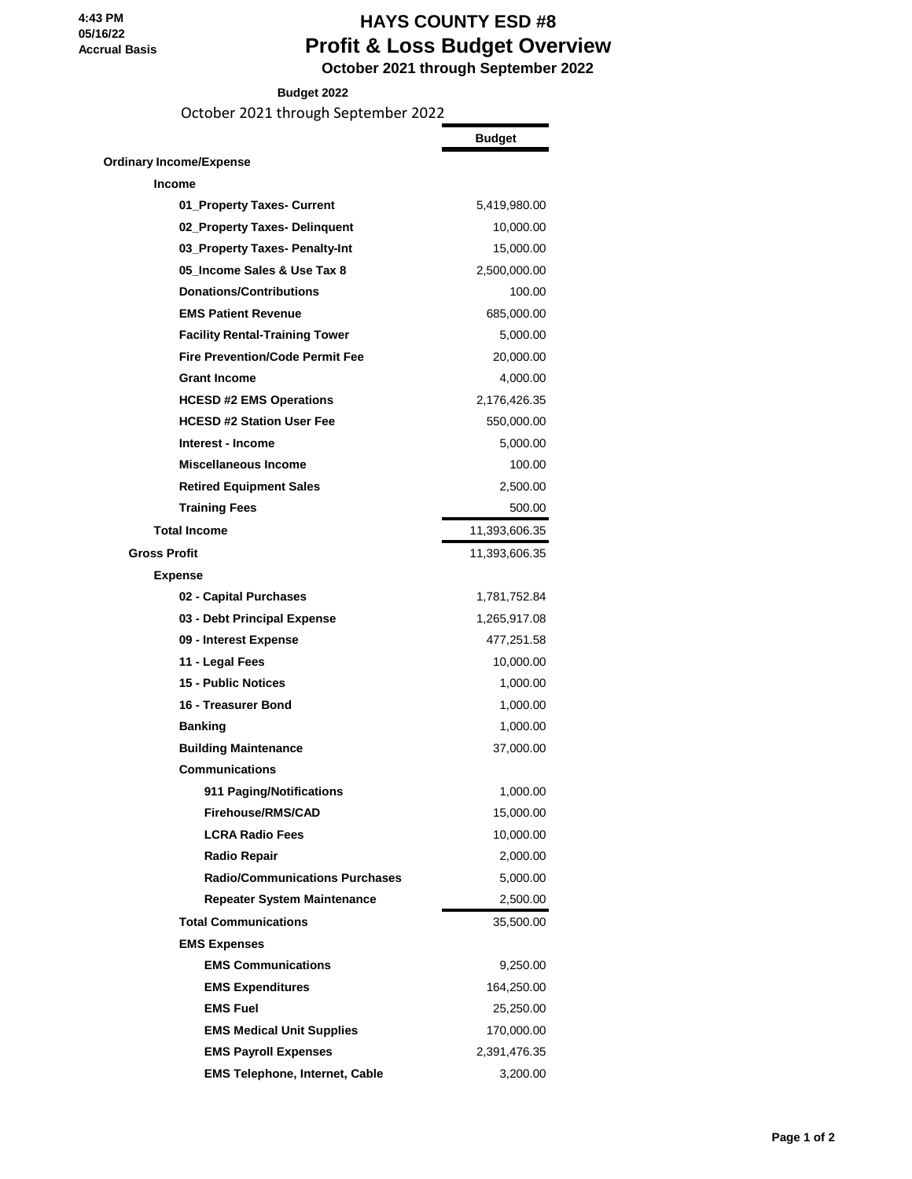## **HAYS COUNTY ESD #8 Profit & Loss Budget Overview October 2021 through September 2022**

**Budget 2022**

October 2021 through September 2022

|                                        | <b>Budget</b> |
|----------------------------------------|---------------|
| <b>Ordinary Income/Expense</b>         |               |
| <b>Income</b>                          |               |
| 01_Property Taxes- Current             | 5,419,980.00  |
| 02_Property Taxes- Delinquent          | 10,000.00     |
| 03 Property Taxes- Penalty-Int         | 15,000.00     |
| 05 Income Sales & Use Tax 8            | 2,500,000.00  |
| <b>Donations/Contributions</b>         | 100.00        |
| <b>EMS Patient Revenue</b>             | 685,000.00    |
| <b>Facility Rental-Training Tower</b>  | 5,000.00      |
| <b>Fire Prevention/Code Permit Fee</b> | 20,000.00     |
| <b>Grant Income</b>                    | 4,000.00      |
| <b>HCESD #2 EMS Operations</b>         | 2,176,426.35  |
| <b>HCESD #2 Station User Fee</b>       | 550,000.00    |
| Interest - Income                      | 5,000.00      |
| Miscellaneous Income                   | 100.00        |
| <b>Retired Equipment Sales</b>         | 2,500.00      |
| <b>Training Fees</b>                   | 500.00        |
| <b>Total Income</b>                    | 11,393,606.35 |
| <b>Gross Profit</b>                    | 11,393,606.35 |
| <b>Expense</b>                         |               |
| 02 - Capital Purchases                 | 1,781,752.84  |
| 03 - Debt Principal Expense            | 1,265,917.08  |
| 09 - Interest Expense                  | 477,251.58    |
| 11 - Legal Fees                        | 10,000.00     |
| 15 - Public Notices                    | 1,000.00      |
| 16 - Treasurer Bond                    | 1,000.00      |
| Banking                                | 1,000.00      |
| <b>Building Maintenance</b>            | 37,000.00     |
| <b>Communications</b>                  |               |
| 911 Paging/Notifications               | 1,000.00      |
| Firehouse/RMS/CAD                      | 15,000.00     |
| <b>LCRA Radio Fees</b>                 | 10,000.00     |
| Radio Repair                           | 2,000.00      |
| <b>Radio/Communications Purchases</b>  | 5,000.00      |
| <b>Repeater System Maintenance</b>     | 2,500.00      |
| <b>Total Communications</b>            | 35,500.00     |
| <b>EMS Expenses</b>                    |               |
| <b>EMS Communications</b>              | 9,250.00      |
| <b>EMS Expenditures</b>                | 164,250.00    |
| <b>EMS Fuel</b>                        | 25,250.00     |
| <b>EMS Medical Unit Supplies</b>       | 170,000.00    |
| <b>EMS Payroll Expenses</b>            | 2,391,476.35  |
| <b>EMS Telephone, Internet, Cable</b>  | 3,200.00      |